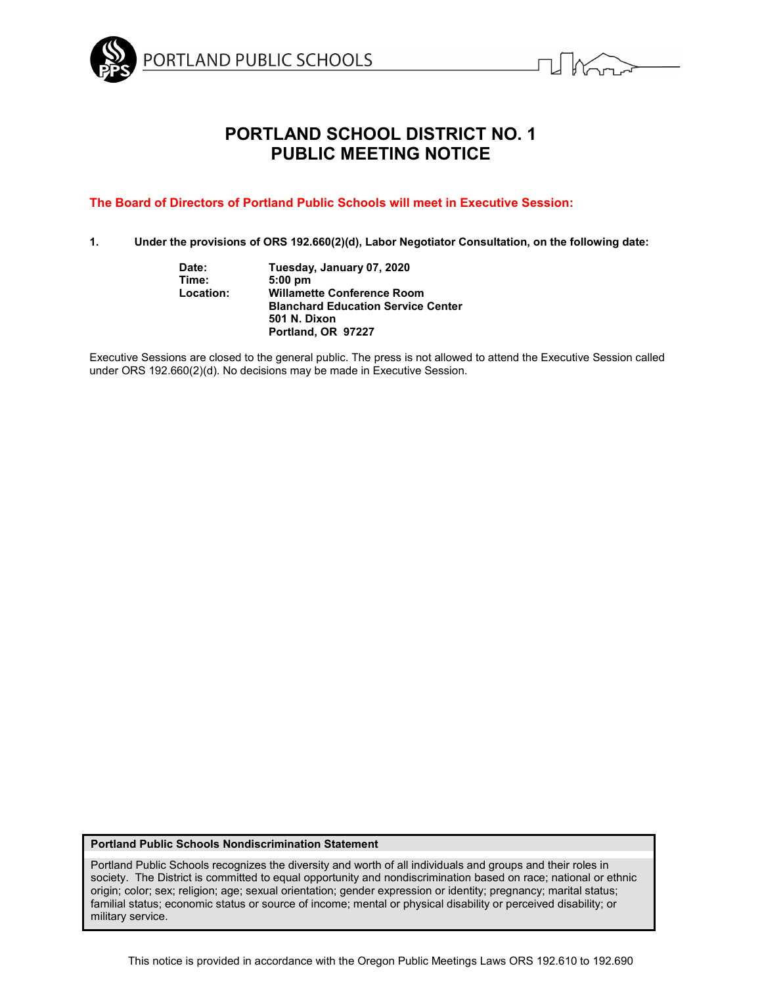



# **PORTLAND SCHOOL DISTRICT NO. 1 PUBLIC MEETING NOTICE**

# **The Board of Directors of Portland Public Schools will meet in Executive Session:**

**1. Under the provisions of ORS 192.660(2)(d), Labor Negotiator Consultation, on the following date:**

| Tuesday, January 07, 2020                 |
|-------------------------------------------|
| $5:00$ pm                                 |
| <b>Willamette Conference Room</b>         |
| <b>Blanchard Education Service Center</b> |
| <b>501 N. Dixon</b>                       |
| Portland, OR 97227                        |
|                                           |

Executive Sessions are closed to the general public. The press is not allowed to attend the Executive Session called under ORS 192.660(2)(d). No decisions may be made in Executive Session.

#### **Portland Public Schools Nondiscrimination Statement**

Portland Public Schools recognizes the diversity and worth of all individuals and groups and their roles in society. The District is committed to equal opportunity and nondiscrimination based on race; national or ethnic origin; color; sex; religion; age; sexual orientation; gender expression or identity; pregnancy; marital status; familial status; economic status or source of income; mental or physical disability or perceived disability; or military service.